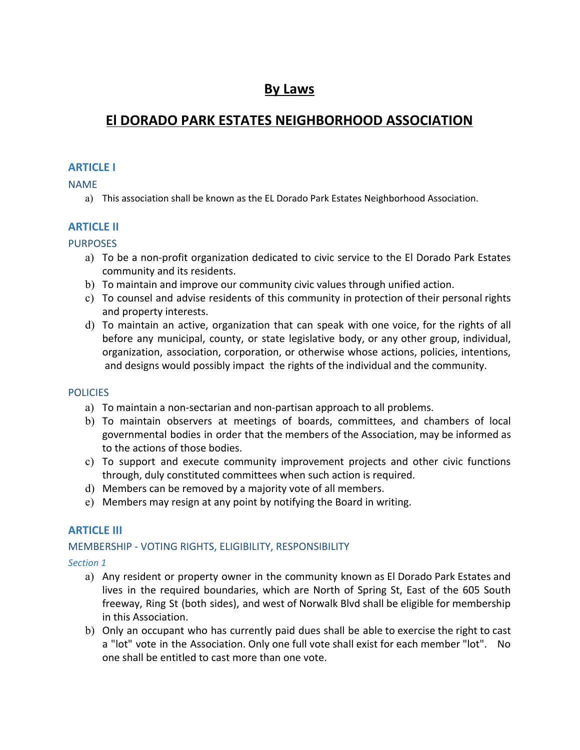# **By Laws**

# **El DORADO PARK ESTATES NEIGHBORHOOD ASSOCIATION**

# **ARTICLE I**

NAME

a) This association shall be known as the EL Dorado Park Estates Neighborhood Association.

# **ARTICLE II**

# PURPOSES

- a) To be a non-profit organization dedicated to civic service to the El Dorado Park Estates community and its residents.
- b) To maintain and improve our community civic values through unified action.
- c) To counsel and advise residents of this community in protection of their personal rights and property interests.
- d) To maintain an active, organization that can speak with one voice, for the rights of all before any municipal, county, or state legislative body, or any other group, individual, organization, association, corporation, or otherwise whose actions, policies, intentions, and designs would possibly impact the rights of the individual and the community.

# **POLICIES**

- a) To maintain a non-sectarian and non-partisan approach to all problems.
- b) To maintain observers at meetings of boards, committees, and chambers of local governmental bodies in order that the members of the Association, may be informed as to the actions of those bodies.
- c) To support and execute community improvement projects and other civic functions through, duly constituted committees when such action is required.
- d) Members can be removed by a majority vote of all members.
- e) Members may resign at any point by notifying the Board in writing.

# **ARTICLE III**

# MEMBERSHIP - VOTING RIGHTS, ELIGIBILITY, RESPONSIBILITY

*Section 1*

- a) Any resident or property owner in the community known as El Dorado Park Estates and lives in the required boundaries, which are North of Spring St, East of the 605 South freeway, Ring St (both sides), and west of Norwalk Blvd shall be eligible for membership in this Association.
- b) Only an occupant who has currently paid dues shall be able to exercise the right to cast a "lot" vote in the Association. Only one full vote shall exist for each member "lot". No one shall be entitled to cast more than one vote.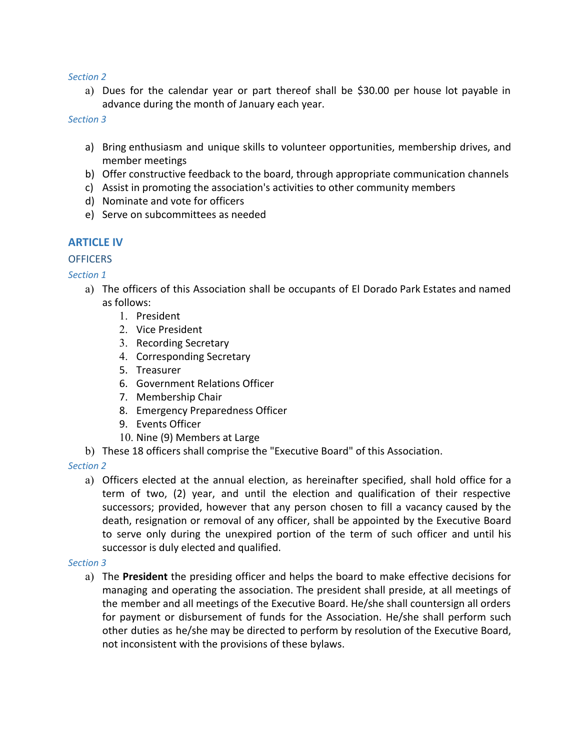#### *Section 2*

a) Dues for the calendar year or part thereof shall be \$30.00 per house lot payable in advance during the month of January each year.

*Section 3*

- a) Bring enthusiasm and unique skills to volunteer opportunities, membership drives, and member meetings
- b) Offer constructive feedback to the board, through appropriate communication channels
- c) Assist in promoting the association's activities to other community members
- d) Nominate and vote for officers
- e) Serve on subcommittees as needed

## **ARTICLE IV**

### **OFFICERS**

## *Section 1*

- a) The officers of this Association shall be occupants of El Dorado Park Estates and named as follows:
	- 1. President
	- 2. Vice President
	- 3. Recording Secretary
	- 4. Corresponding Secretary
	- 5. Treasurer
	- 6. Government Relations Officer
	- 7. Membership Chair
	- 8. Emergency Preparedness Officer
	- 9. Events Officer
	- 10. Nine (9) Members at Large
- b) These 18 officers shall comprise the "Executive Board" of this Association.

*Section 2*

a) Officers elected at the annual election, as hereinafter specified, shall hold office for a term of two, (2) year, and until the election and qualification of their respective successors; provided, however that any person chosen to fill a vacancy caused by the death, resignation or removal of any officer, shall be appointed by the Executive Board to serve only during the unexpired portion of the term of such officer and until his successor is duly elected and qualified.

#### *Section 3*

a) The **President** the presiding officer and helps the board to make effective decisions for managing and operating the association. The president shall preside, at all meetings of the member and all meetings of the Executive Board. He/she shall countersign all orders for payment or disbursement of funds for the Association. He/she shall perform such other duties as he/she may be directed to perform by resolution of the Executive Board, not inconsistent with the provisions of these bylaws.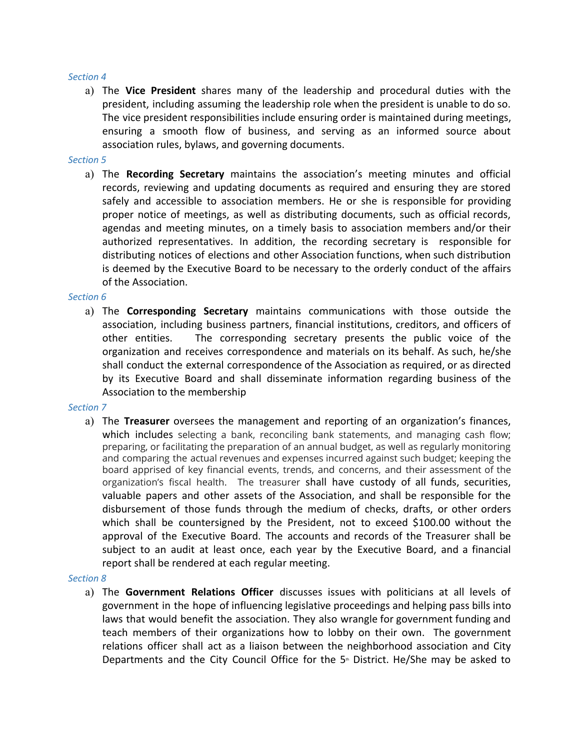#### *Section 4*

a) The **Vice President** shares many of the leadership and procedural duties with the president, including assuming the leadership role when the president is unable to do so. The vice president responsibilities include ensuring order is maintained during meetings, ensuring a smooth flow of business, and serving as an informed source about association rules, bylaws, and governing documents.

#### *Section 5*

a) The **Recording Secretary** maintains the association's meeting minutes and official records, reviewing and updating documents as required and ensuring they are stored safely and accessible to association members. He or she is responsible for providing proper notice of meetings, as well as distributing documents, such as official records, agendas and meeting minutes, on a timely basis to association members and/or their authorized representatives. In addition, the recording secretary is responsible for distributing notices of elections and other Association functions, when such distribution is deemed by the Executive Board to be necessary to the orderly conduct of the affairs of the Association.

#### *Section 6*

a) The **Corresponding Secretary** maintains communications with those outside the association, including business partners, financial institutions, creditors, and officers of other entities. The corresponding secretary presents the public voice of the organization and receives correspondence and materials on its behalf. As such, he/she shall conduct the external correspondence of the Association as required, or as directed by its Executive Board and shall disseminate information regarding business of the Association to the membership

#### *Section 7*

a) The **Treasurer** oversees the management and reporting of an organization's finances, which includes selecting a bank, reconciling bank statements, and managing cash flow; preparing, or facilitating the preparation of an annual budget, as well as regularly monitoring and comparing the actual revenues and expenses incurred against such budget; keeping the board apprised of key financial events, trends, and concerns, and their assessment of the organization's fiscal health. The treasurer shall have custody of all funds, securities, valuable papers and other assets of the Association, and shall be responsible for the disbursement of those funds through the medium of checks, drafts, or other orders which shall be countersigned by the President, not to exceed \$100.00 without the approval of the Executive Board. The accounts and records of the Treasurer shall be subject to an audit at least once, each year by the Executive Board, and a financial report shall be rendered at each regular meeting.

#### *Section 8*

a) The **Government Relations Officer** discusses issues with politicians at all levels of government in the hope of influencing legislative proceedings and helping pass bills into laws that would benefit the association. They also wrangle for government funding and teach members of their organizations how to lobby on their own. The government relations officer shall act as a liaison between the neighborhood association and City Departments and the City Council Office for the  $5<sup>*</sup>$  District. He/She may be asked to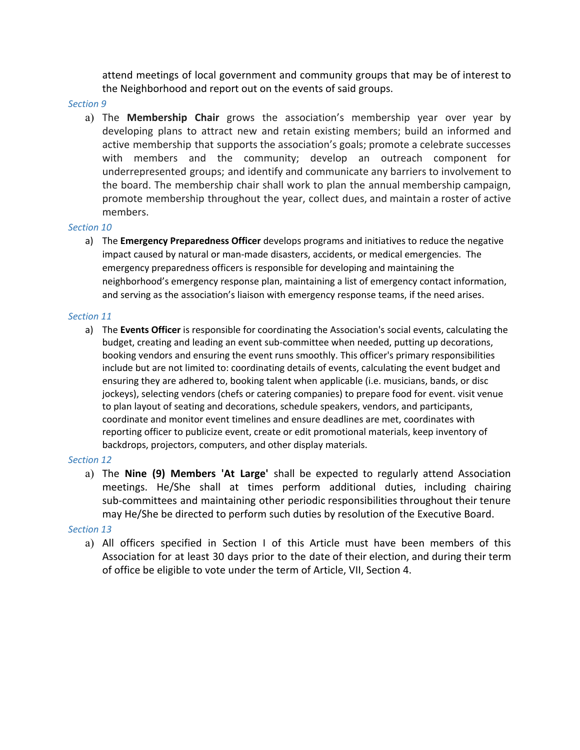attend meetings of local government and community groups that may be of interest to the Neighborhood and report out on the events of said groups.

#### *Section 9*

a) The **Membership Chair** grows the association's membership year over year by developing plans to attract new and retain existing members; build an informed and active membership that supports the association's goals; promote a celebrate successes with members and the community; develop an outreach component for underrepresented groups; and identify and communicate any barriers to involvement to the board. The membership chair shall work to plan the annual membership campaign, promote membership throughout the year, collect dues, and maintain a roster of active members.

#### *Section 10*

a) The **Emergency Preparedness Officer** develops programs and initiatives to reduce the negative impact caused by natural or man-made disasters, accidents, or medical emergencies. The emergency preparedness officers is responsible for developing and maintaining the neighborhood's emergency response plan, maintaining a list of emergency contact information, and serving as the association's liaison with emergency response teams, if the need arises.

#### *Section 11*

a) The **Events Officer** is responsible for coordinating the Association's social events, calculating the budget, creating and leading an event sub-committee when needed, putting up decorations, booking vendors and ensuring the event runs smoothly. This officer's primary responsibilities include but are not limited to: coordinating details of events, calculating the event budget and ensuring they are adhered to, booking talent when applicable (i.e. musicians, bands, or disc jockeys), selecting vendors (chefs or catering companies) to prepare food for event. visit venue to plan layout of seating and decorations, schedule speakers, vendors, and participants, coordinate and monitor event timelines and ensure deadlines are met, coordinates with reporting officer to publicize event, create or edit promotional materials, keep inventory of backdrops, projectors, computers, and other display materials.

#### *Section 12*

a) The **Nine (9) Members 'At Large'** shall be expected to regularly attend Association meetings. He/She shall at times perform additional duties, including chairing sub-committees and maintaining other periodic responsibilities throughout their tenure may He/She be directed to perform such duties by resolution of the Executive Board.

#### *Section 13*

a) All officers specified in Section I of this Article must have been members of this Association for at least 30 days prior to the date of their election, and during their term of office be eligible to vote under the term of Article, VII, Section 4.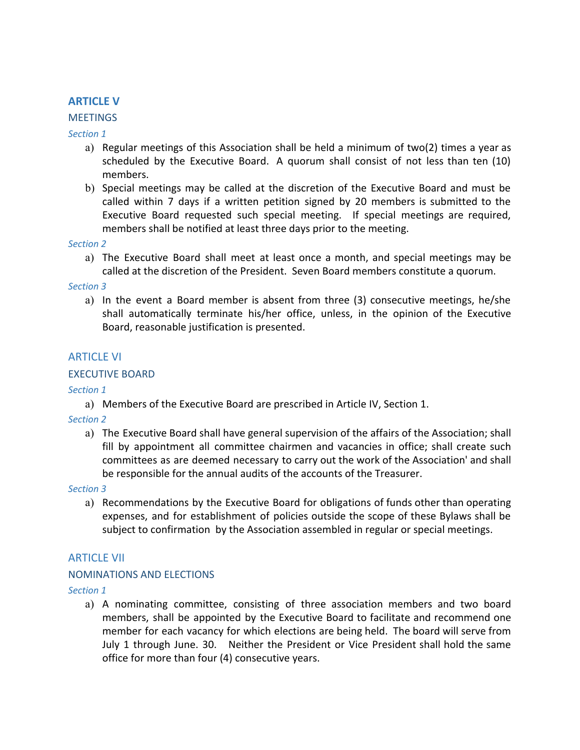# **ARTICLE V**

#### **MEETINGS**

*Section 1*

- a) Regular meetings of this Association shall be held a minimum of two(2) times a year as scheduled by the Executive Board. A quorum shall consist of not less than ten (10) members.
- b) Special meetings may be called at the discretion of the Executive Board and must be called within 7 days if a written petition signed by 20 members is submitted to the Executive Board requested such special meeting. If special meetings are required, members shall be notified at least three days prior to the meeting.

#### *Section 2*

a) The Executive Board shall meet at least once a month, and special meetings may be called at the discretion of the President. Seven Board members constitute a quorum.

#### *Section 3*

a) In the event a Board member is absent from three (3) consecutive meetings, he/she shall automatically terminate his/her office, unless, in the opinion of the Executive Board, reasonable justification is presented.

## ARTICLE VI

### EXECUTIVE BOARD

*Section 1*

a) Members of the Executive Board are prescribed in Article IV, Section 1.

*Section 2*

a) The Executive Board shall have general supervision of the affairs of the Association; shall fill by appointment all committee chairmen and vacancies in office; shall create such committees as are deemed necessary to carry out the work of the Association' and shall be responsible for the annual audits of the accounts of the Treasurer.

#### *Section 3*

a) Recommendations by the Executive Board for obligations of funds other than operating expenses, and for establishment of policies outside the scope of these Bylaws shall be subject to confirmation by the Association assembled in regular or special meetings.

### ARTICLE VII

#### NOMINATIONS AND ELECTIONS

*Section 1*

a) A nominating committee, consisting of three association members and two board members, shall be appointed by the Executive Board to facilitate and recommend one member for each vacancy for which elections are being held. The board will serve from July 1 through June. 30. Neither the President or Vice President shall hold the same office for more than four (4) consecutive years.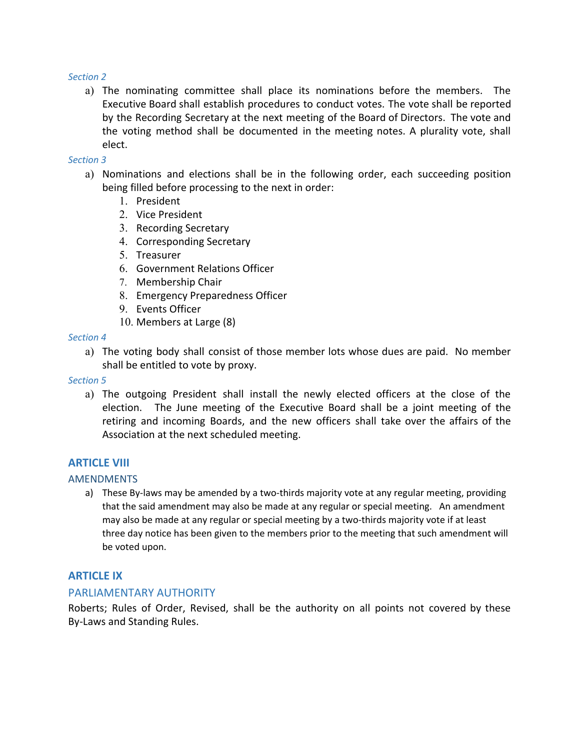#### *Section 2*

a) The nominating committee shall place its nominations before the members. The Executive Board shall establish procedures to conduct votes. The vote shall be reported by the Recording Secretary at the next meeting of the Board of Directors. The vote and the voting method shall be documented in the meeting notes. A plurality vote, shall elect.

#### *Section 3*

- a) Nominations and elections shall be in the following order, each succeeding position being filled before processing to the next in order:
	- 1. President
	- 2. Vice President
	- 3. Recording Secretary
	- 4. Corresponding Secretary
	- 5. Treasurer
	- 6. Government Relations Officer
	- 7. Membership Chair
	- 8. Emergency Preparedness Officer
	- 9. Events Officer
	- 10. Members at Large (8)

#### *Section 4*

a) The voting body shall consist of those member lots whose dues are paid. No member shall be entitled to vote by proxy.

#### *Section 5*

a) The outgoing President shall install the newly elected officers at the close of the election. The June meeting of the Executive Board shall be a joint meeting of the retiring and incoming Boards, and the new officers shall take over the affairs of the Association at the next scheduled meeting.

### **ARTICLE VIII**

#### AMENDMENTS

a) These By-laws may be amended by a two-thirds majority vote at any regular meeting, providing that the said amendment may also be made at any regular or special meeting. An amendment may also be made at any regular or special meeting by a two-thirds majority vote if at least three day notice has been given to the members prior to the meeting that such amendment will be voted upon.

# **ARTICLE IX**

### PARLIAMENTARY AUTHORITY

Roberts; Rules of Order, Revised, shall be the authority on all points not covered by these By-Laws and Standing Rules.